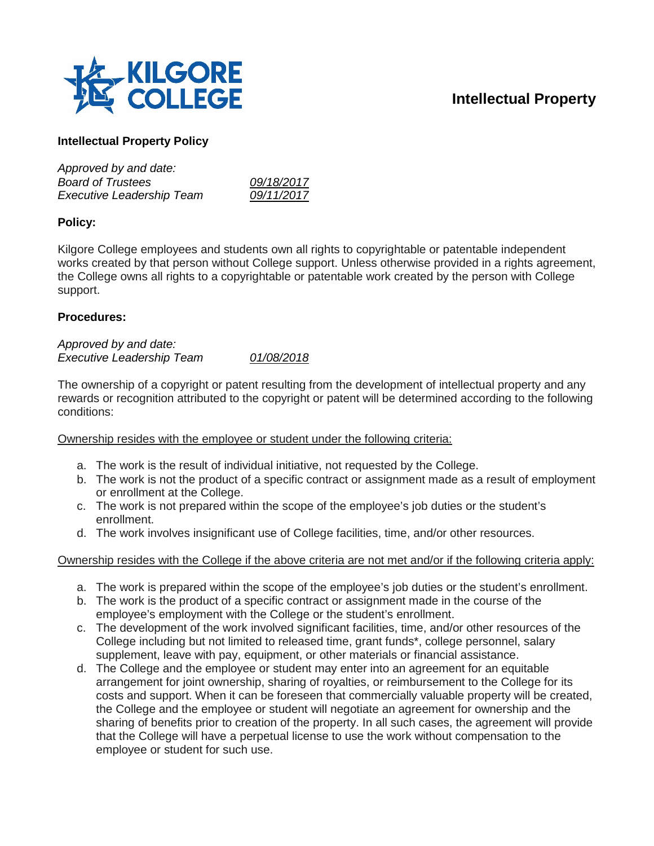

# **Intellectual Property**

## **Intellectual Property Policy**

| Approved by and date:            |            |
|----------------------------------|------------|
| <b>Board of Trustees</b>         | 09/18/2017 |
| <b>Executive Leadership Team</b> | 09/11/2017 |

### **Policy:**

Kilgore College employees and students own all rights to copyrightable or patentable independent works created by that person without College support. Unless otherwise provided in a rights agreement, the College owns all rights to a copyrightable or patentable work created by the person with College support.

#### **Procedures:**

#### *Approved by and date: Executive Leadership Team 01/08/2018*

The ownership of a copyright or patent resulting from the development of intellectual property and any rewards or recognition attributed to the copyright or patent will be determined according to the following conditions:

Ownership resides with the employee or student under the following criteria:

- a. The work is the result of individual initiative, not requested by the College.
- b. The work is not the product of a specific contract or assignment made as a result of employment or enrollment at the College.
- c. The work is not prepared within the scope of the employee's job duties or the student's enrollment.
- d. The work involves insignificant use of College facilities, time, and/or other resources.

Ownership resides with the College if the above criteria are not met and/or if the following criteria apply:

- a. The work is prepared within the scope of the employee's job duties or the student's enrollment.
- b. The work is the product of a specific contract or assignment made in the course of the employee's employment with the College or the student's enrollment.
- c. The development of the work involved significant facilities, time, and/or other resources of the College including but not limited to released time, grant funds\*, college personnel, salary supplement, leave with pay, equipment, or other materials or financial assistance.
- d. The College and the employee or student may enter into an agreement for an equitable arrangement for joint ownership, sharing of royalties, or reimbursement to the College for its costs and support. When it can be foreseen that commercially valuable property will be created, the College and the employee or student will negotiate an agreement for ownership and the sharing of benefits prior to creation of the property. In all such cases, the agreement will provide that the College will have a perpetual license to use the work without compensation to the employee or student for such use.